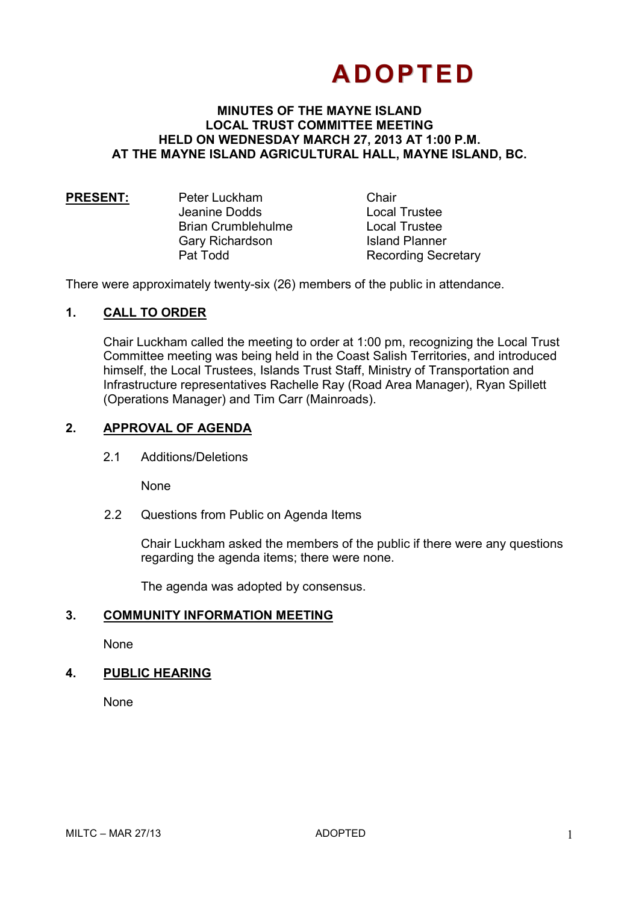# **ADOPTED**

#### **MINUTES OF THE MAYNE ISLAND LOCAL TRUST COMMITTEE MEETING HELD ON WEDNESDAY MARCH 27, 2013 AT 1:00 P.M. AT THE MAYNE ISLAND AGRICULTURAL HALL, MAYNE ISLAND, BC.**

| <b>PRESENT:</b> | Peter Luckham             | Chair  |
|-----------------|---------------------------|--------|
|                 | Jeanine Dodds             | Local  |
|                 | <b>Brian Crumblehulme</b> | Local  |
|                 | Gary Richardson           | Island |
|                 | Pat Todd                  | Recor  |
|                 |                           |        |

**Trustee Trustee** d Planner rding Secretary

There were approximately twenty-six (26) members of the public in attendance.

## **1. CALL TO ORDER**

Chair Luckham called the meeting to order at 1:00 pm, recognizing the Local Trust Committee meeting was being held in the Coast Salish Territories, and introduced himself, the Local Trustees, Islands Trust Staff, Ministry of Transportation and Infrastructure representatives Rachelle Ray (Road Area Manager), Ryan Spillett (Operations Manager) and Tim Carr (Mainroads).

## **2. APPROVAL OF AGENDA**

2.1 Additions/Deletions

None

2.2 Questions from Public on Agenda Items

Chair Luckham asked the members of the public if there were any questions regarding the agenda items; there were none.

The agenda was adopted by consensus.

#### **3. COMMUNITY INFORMATION MEETING**

None

# **4. PUBLIC HEARING**

None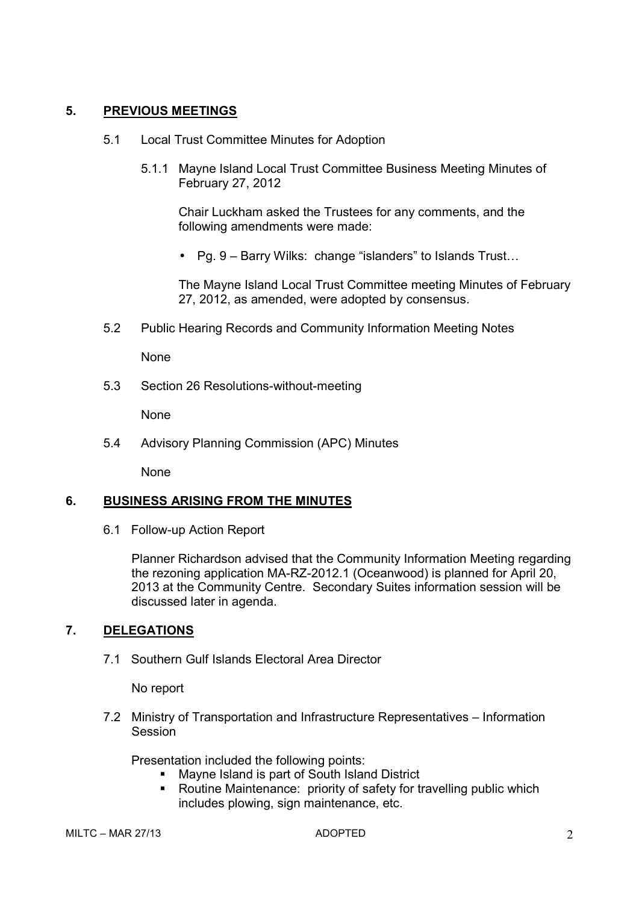# **5. PREVIOUS MEETINGS**

- 5.1 Local Trust Committee Minutes for Adoption
	- 5.1.1 Mayne Island Local Trust Committee Business Meeting Minutes of February 27, 2012

Chair Luckham asked the Trustees for any comments, and the following amendments were made:

• Pq.  $9$  – Barry Wilks: change "islanders" to Islands Trust...

The Mayne Island Local Trust Committee meeting Minutes of February 27, 2012, as amended, were adopted by consensus.

5.2 Public Hearing Records and Community Information Meeting Notes

None

5.3 Section 26 Resolutions-without-meeting

None

5.4 Advisory Planning Commission (APC) Minutes

None

# **6. BUSINESS ARISING FROM THE MINUTES**

6.1 Follow-up Action Report

Planner Richardson advised that the Community Information Meeting regarding the rezoning application MA-RZ-2012.1 (Oceanwood) is planned for April 20, 2013 at the Community Centre. Secondary Suites information session will be discussed later in agenda.

# **7. DELEGATIONS**

7.1 Southern Gulf Islands Electoral Area Director

No report

7.2 Ministry of Transportation and Infrastructure Representatives – Information Session

Presentation included the following points:

- **Mayne Island is part of South Island District**
- Routine Maintenance: priority of safety for travelling public which includes plowing, sign maintenance, etc.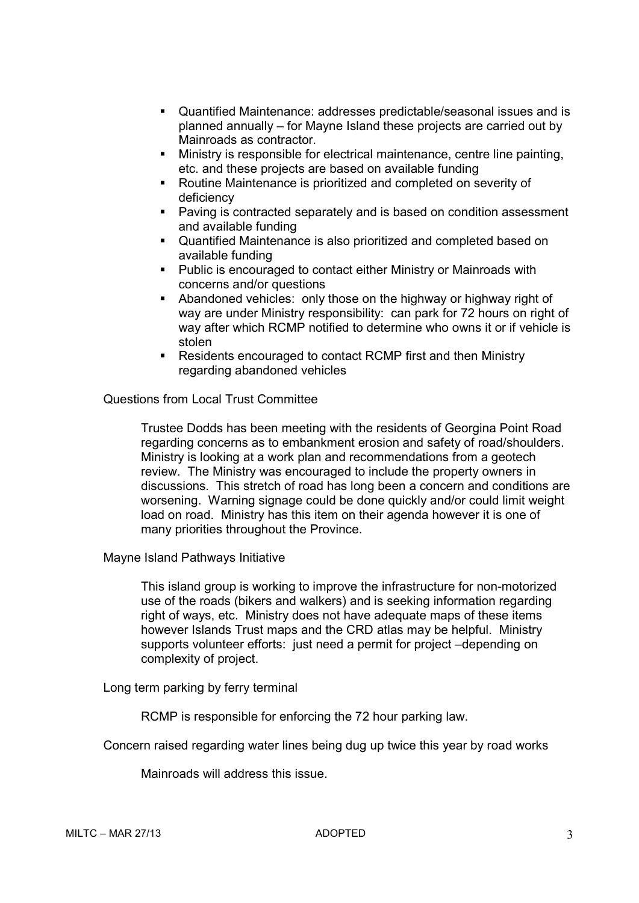- Quantified Maintenance: addresses predictable/seasonal issues and is planned annually – for Mayne Island these projects are carried out by Mainroads as contractor.
- Ministry is responsible for electrical maintenance, centre line painting, etc. and these projects are based on available funding
- Routine Maintenance is prioritized and completed on severity of deficiency
- Paving is contracted separately and is based on condition assessment and available funding
- Quantified Maintenance is also prioritized and completed based on available funding
- **Public is encouraged to contact either Ministry or Mainroads with** concerns and/or questions
- Abandoned vehicles: only those on the highway or highway right of way are under Ministry responsibility: can park for 72 hours on right of way after which RCMP notified to determine who owns it or if vehicle is stolen
- Residents encouraged to contact RCMP first and then Ministry regarding abandoned vehicles

Questions from Local Trust Committee

Trustee Dodds has been meeting with the residents of Georgina Point Road regarding concerns as to embankment erosion and safety of road/shoulders. Ministry is looking at a work plan and recommendations from a geotech review. The Ministry was encouraged to include the property owners in discussions. This stretch of road has long been a concern and conditions are worsening. Warning signage could be done quickly and/or could limit weight load on road. Ministry has this item on their agenda however it is one of many priorities throughout the Province.

Mayne Island Pathways Initiative

This island group is working to improve the infrastructure for non-motorized use of the roads (bikers and walkers) and is seeking information regarding right of ways, etc. Ministry does not have adequate maps of these items however Islands Trust maps and the CRD atlas may be helpful. Ministry supports volunteer efforts: just need a permit for project –depending on complexity of project.

Long term parking by ferry terminal

RCMP is responsible for enforcing the 72 hour parking law.

Concern raised regarding water lines being dug up twice this year by road works

Mainroads will address this issue.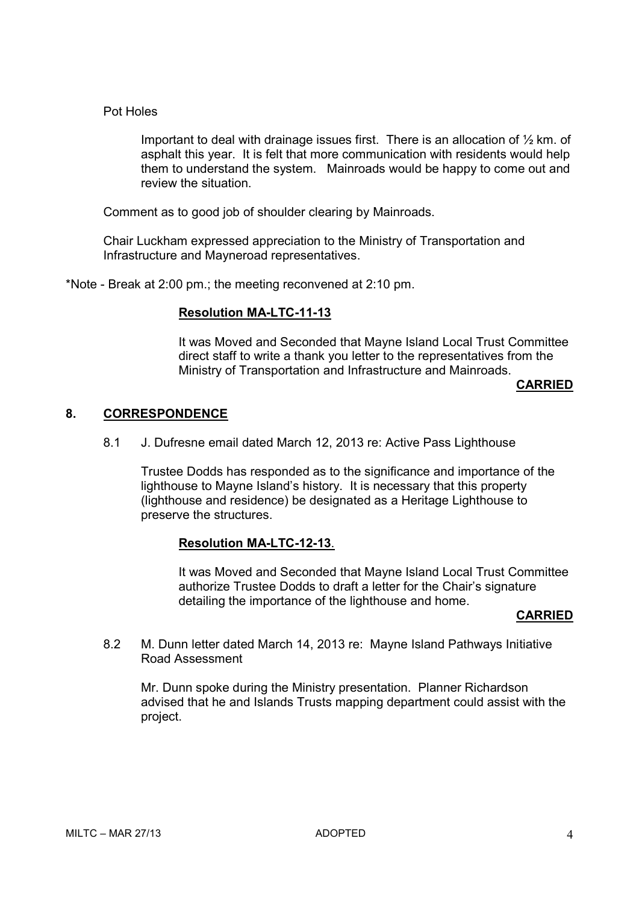#### Pot Holes

Important to deal with drainage issues first. There is an allocation of  $\frac{1}{2}$  km. of asphalt this year. It is felt that more communication with residents would help them to understand the system. Mainroads would be happy to come out and review the situation.

Comment as to good job of shoulder clearing by Mainroads.

Chair Luckham expressed appreciation to the Ministry of Transportation and Infrastructure and Mayneroad representatives.

\*Note - Break at 2:00 pm.; the meeting reconvened at 2:10 pm.

## **Resolution MA-LTC-11-13**

It was Moved and Seconded that Mayne Island Local Trust Committee direct staff to write a thank you letter to the representatives from the Ministry of Transportation and Infrastructure and Mainroads.

**CARRIED** 

## **8. CORRESPONDENCE**

8.1 J. Dufresne email dated March 12, 2013 re: Active Pass Lighthouse

Trustee Dodds has responded as to the significance and importance of the lighthouse to Mayne Island's history. It is necessary that this property (lighthouse and residence) be designated as a Heritage Lighthouse to preserve the structures.

# **Resolution MA-LTC-12-13**.

It was Moved and Seconded that Mayne Island Local Trust Committee authorize Trustee Dodds to draft a letter for the Chair's signature detailing the importance of the lighthouse and home.

#### **CARRIED**

8.2 M. Dunn letter dated March 14, 2013 re: Mayne Island Pathways Initiative Road Assessment

Mr. Dunn spoke during the Ministry presentation. Planner Richardson advised that he and Islands Trusts mapping department could assist with the project.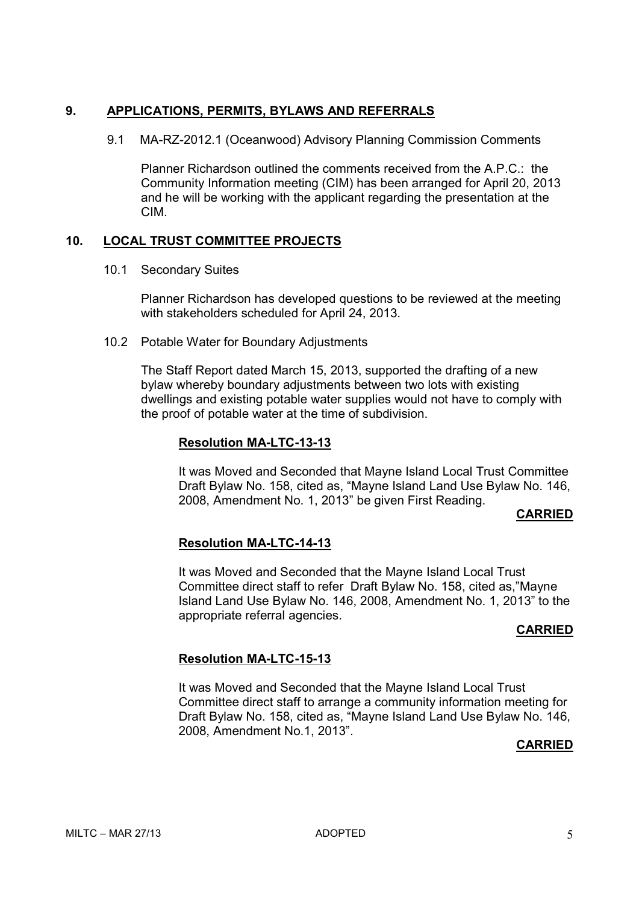## **9. APPLICATIONS, PERMITS, BYLAWS AND REFERRALS**

9.1 MA-RZ-2012.1 (Oceanwood) Advisory Planning Commission Comments

Planner Richardson outlined the comments received from the A.P.C.: the Community Information meeting (CIM) has been arranged for April 20, 2013 and he will be working with the applicant regarding the presentation at the CIM.

# **10. LOCAL TRUST COMMITTEE PROJECTS**

10.1 Secondary Suites

 Planner Richardson has developed questions to be reviewed at the meeting with stakeholders scheduled for April 24, 2013.

10.2 Potable Water for Boundary Adjustments

The Staff Report dated March 15, 2013, supported the drafting of a new bylaw whereby boundary adjustments between two lots with existing dwellings and existing potable water supplies would not have to comply with the proof of potable water at the time of subdivision.

## **Resolution MA-LTC-13-13**

It was Moved and Seconded that Mayne Island Local Trust Committee Draft Bylaw No. 158, cited as, "Mayne Island Land Use Bylaw No. 146, 2008, Amendment No. 1, 2013" be given First Reading.

# **CARRIED**

# **Resolution MA-LTC-14-13**

It was Moved and Seconded that the Mayne Island Local Trust Committee direct staff to refer Draft Bylaw No. 158, cited as,"Mayne Island Land Use Bylaw No. 146, 2008, Amendment No. 1, 2013" to the appropriate referral agencies.

#### **CARRIED**

# **Resolution MA-LTC-15-13**

It was Moved and Seconded that the Mayne Island Local Trust Committee direct staff to arrange a community information meeting for Draft Bylaw No. 158, cited as, "Mayne Island Land Use Bylaw No. 146, 2008, Amendment No.1, 2013".

#### **CARRIED**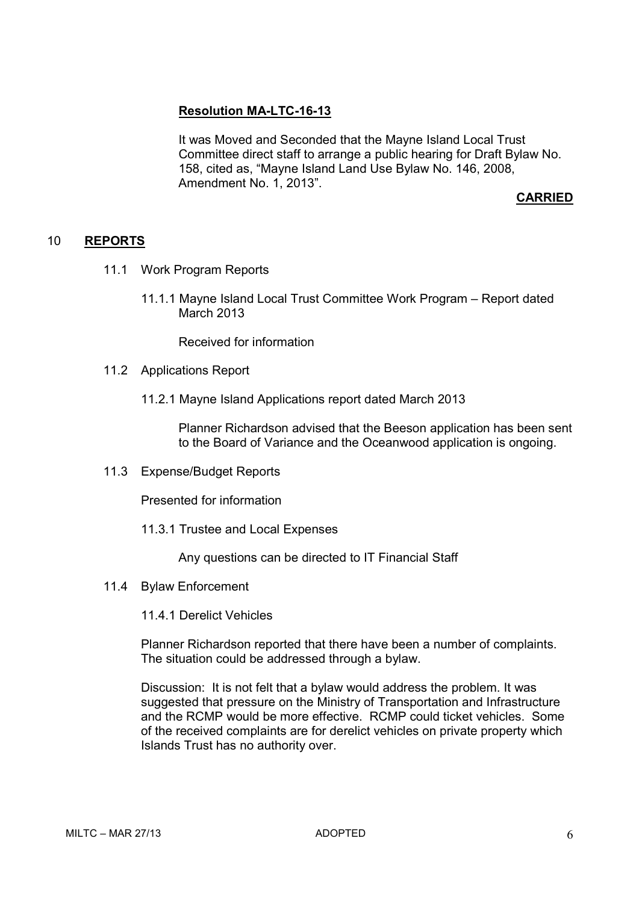## **Resolution MA-LTC-16-13**

It was Moved and Seconded that the Mayne Island Local Trust Committee direct staff to arrange a public hearing for Draft Bylaw No. 158, cited as, "Mayne Island Land Use Bylaw No. 146, 2008, Amendment No. 1, 2013".

# **CARRIED**

#### 10 **REPORTS**

- 11.1 Work Program Reports
	- 11.1.1 Mayne Island Local Trust Committee Work Program Report dated March 2013

Received for information

#### 11.2 Applications Report

11.2.1 Mayne Island Applications report dated March 2013

Planner Richardson advised that the Beeson application has been sent to the Board of Variance and the Oceanwood application is ongoing.

11.3 Expense/Budget Reports

Presented for information

11.3.1 Trustee and Local Expenses

Any questions can be directed to IT Financial Staff

11.4 Bylaw Enforcement

11.4.1 Derelict Vehicles

Planner Richardson reported that there have been a number of complaints. The situation could be addressed through a bylaw.

Discussion: It is not felt that a bylaw would address the problem. It was suggested that pressure on the Ministry of Transportation and Infrastructure and the RCMP would be more effective. RCMP could ticket vehicles. Some of the received complaints are for derelict vehicles on private property which Islands Trust has no authority over.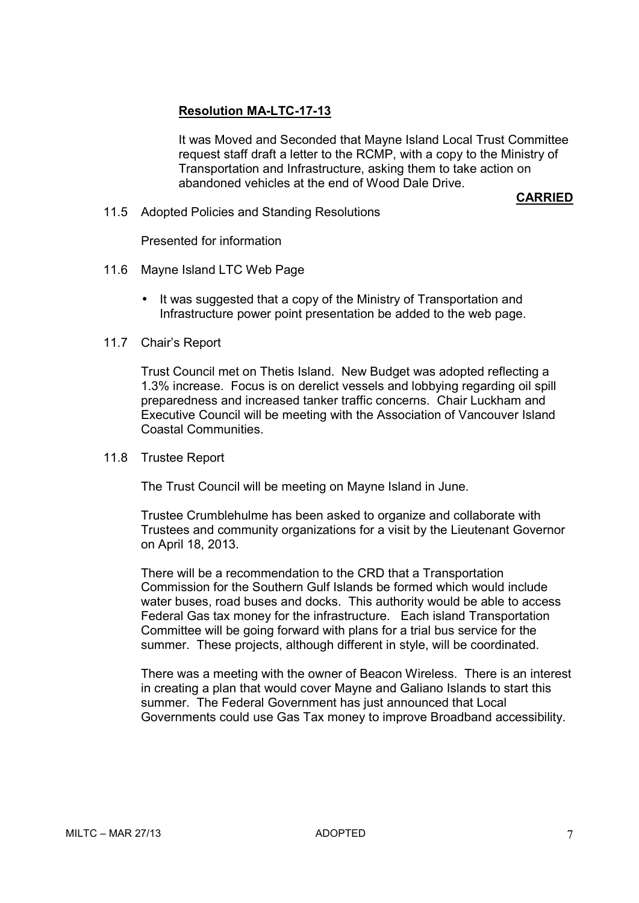# **Resolution MA-LTC-17-13**

It was Moved and Seconded that Mayne Island Local Trust Committee request staff draft a letter to the RCMP, with a copy to the Ministry of Transportation and Infrastructure, asking them to take action on abandoned vehicles at the end of Wood Dale Drive.

#### **CARRIED**

11.5 Adopted Policies and Standing Resolutions

Presented for information

- 11.6 Mayne Island LTC Web Page
	- It was suggested that a copy of the Ministry of Transportation and Infrastructure power point presentation be added to the web page.
- 11.7 Chair's Report

Trust Council met on Thetis Island. New Budget was adopted reflecting a 1.3% increase. Focus is on derelict vessels and lobbying regarding oil spill preparedness and increased tanker traffic concerns. Chair Luckham and Executive Council will be meeting with the Association of Vancouver Island Coastal Communities.

11.8 Trustee Report

The Trust Council will be meeting on Mayne Island in June.

Trustee Crumblehulme has been asked to organize and collaborate with Trustees and community organizations for a visit by the Lieutenant Governor on April 18, 2013.

There will be a recommendation to the CRD that a Transportation Commission for the Southern Gulf Islands be formed which would include water buses, road buses and docks. This authority would be able to access Federal Gas tax money for the infrastructure. Each island Transportation Committee will be going forward with plans for a trial bus service for the summer. These projects, although different in style, will be coordinated.

There was a meeting with the owner of Beacon Wireless. There is an interest in creating a plan that would cover Mayne and Galiano Islands to start this summer. The Federal Government has just announced that Local Governments could use Gas Tax money to improve Broadband accessibility.